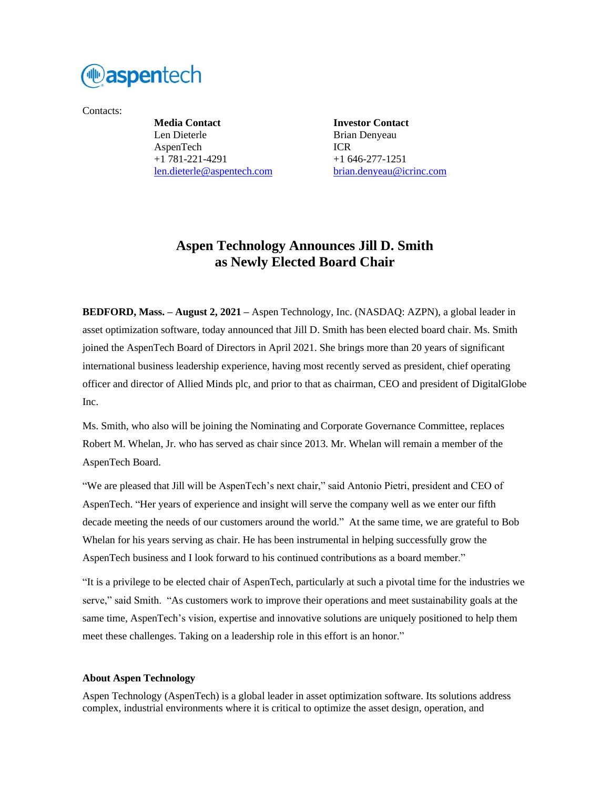

Contacts:

**Media Contact Investor Contact** Len Dieterle Brian Denyeau AspenTech ICR +1 781-221-4291 +1 646-277-1251 [len.dieterle@aspentech.com](mailto:len.dieterle@aspentech.com) [brian.denyeau@icrinc.com](mailto:brian.denyeau@icrinc.com)

## **Aspen Technology Announces Jill D. Smith as Newly Elected Board Chair**

**BEDFORD, Mass. – August 2, 2021 –** Aspen Technology, Inc. (NASDAQ: AZPN), a global leader in asset optimization software, today announced that Jill D. Smith has been elected board chair. Ms. Smith joined the AspenTech Board of Directors in April 2021. She brings more than 20 years of significant international business leadership experience, having most recently served as president, chief operating officer and director of Allied Minds plc, and prior to that as chairman, CEO and president of DigitalGlobe Inc.

Ms. Smith, who also will be joining the Nominating and Corporate Governance Committee, replaces Robert M. Whelan, Jr. who has served as chair since 2013. Mr. Whelan will remain a member of the AspenTech Board.

"We are pleased that Jill will be AspenTech's next chair," said Antonio Pietri, president and CEO of AspenTech. "Her years of experience and insight will serve the company well as we enter our fifth decade meeting the needs of our customers around the world." At the same time, we are grateful to Bob Whelan for his years serving as chair. He has been instrumental in helping successfully grow the AspenTech business and I look forward to his continued contributions as a board member."

"It is a privilege to be elected chair of AspenTech, particularly at such a pivotal time for the industries we serve," said Smith. "As customers work to improve their operations and meet sustainability goals at the same time, AspenTech's vision, expertise and innovative solutions are uniquely positioned to help them meet these challenges. Taking on a leadership role in this effort is an honor."

## **About Aspen Technology**

Aspen Technology (AspenTech) is a global leader in asset optimization software. Its solutions address complex, industrial environments where it is critical to optimize the asset design, operation, and